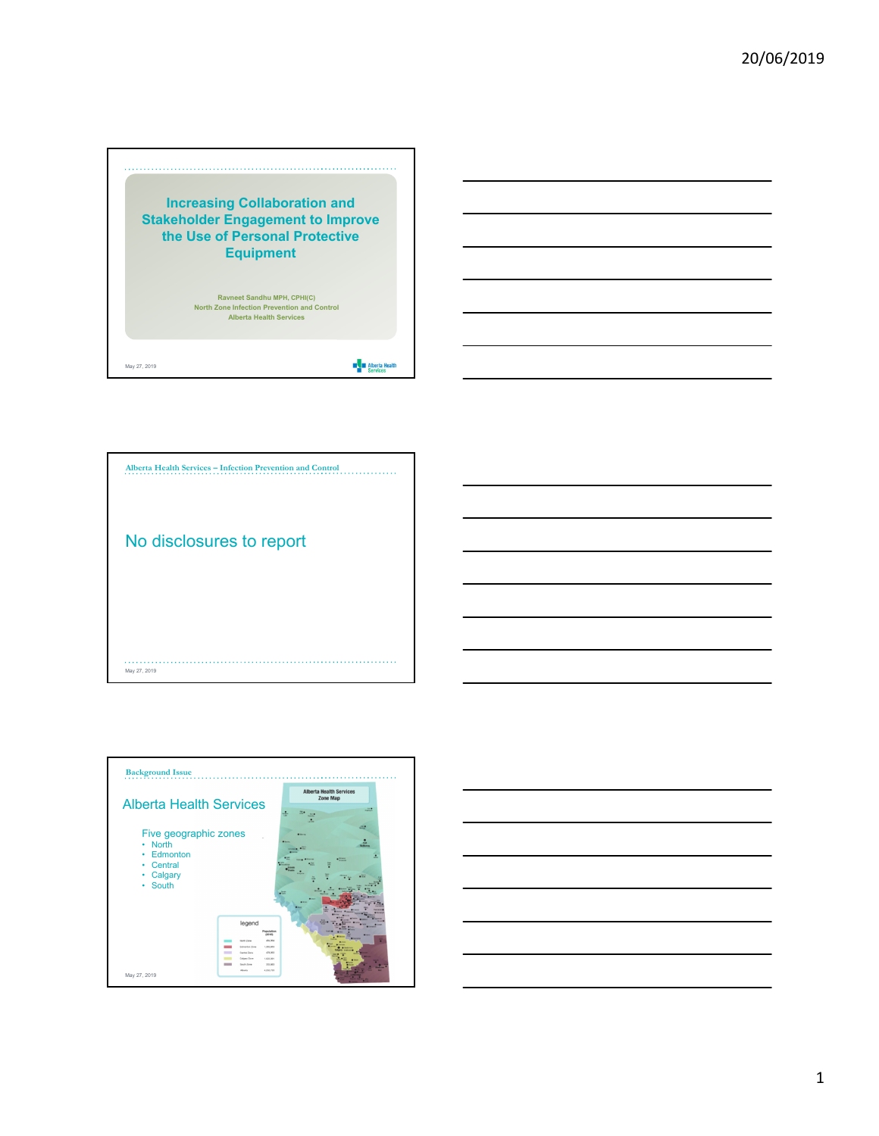





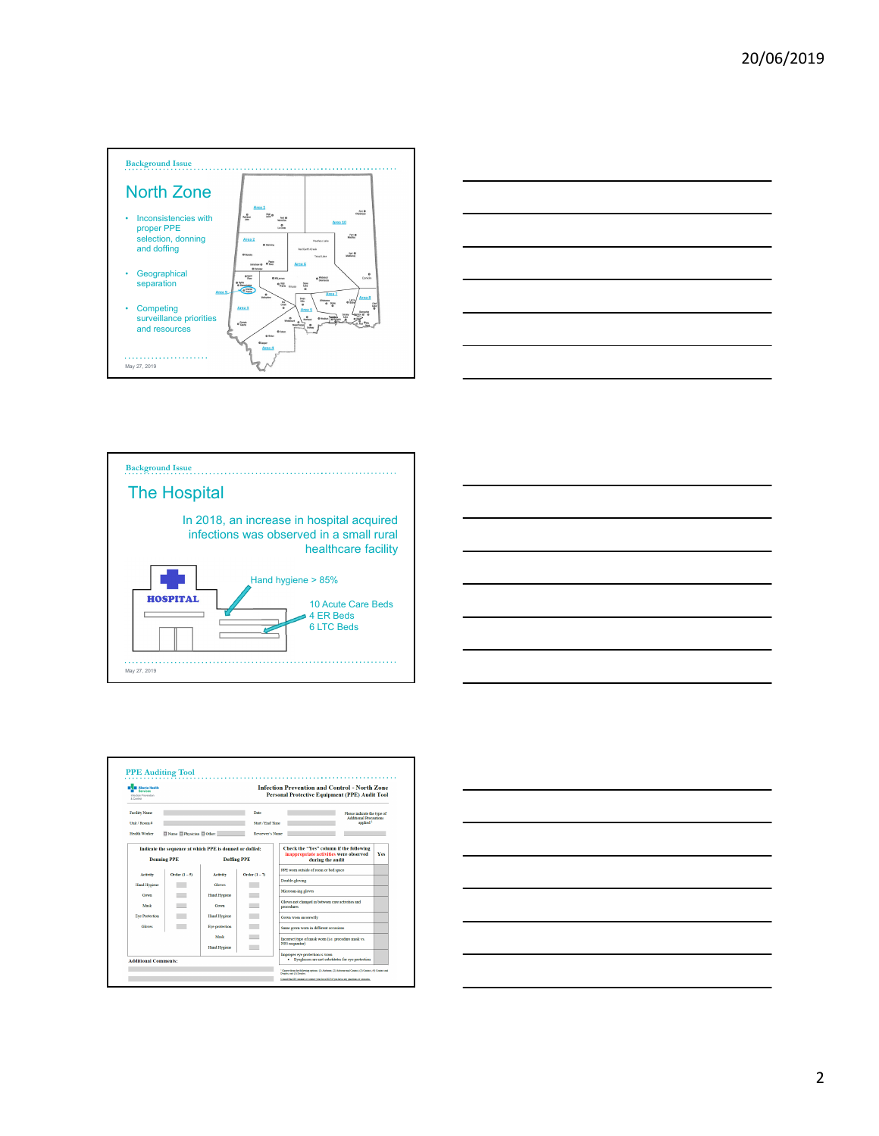









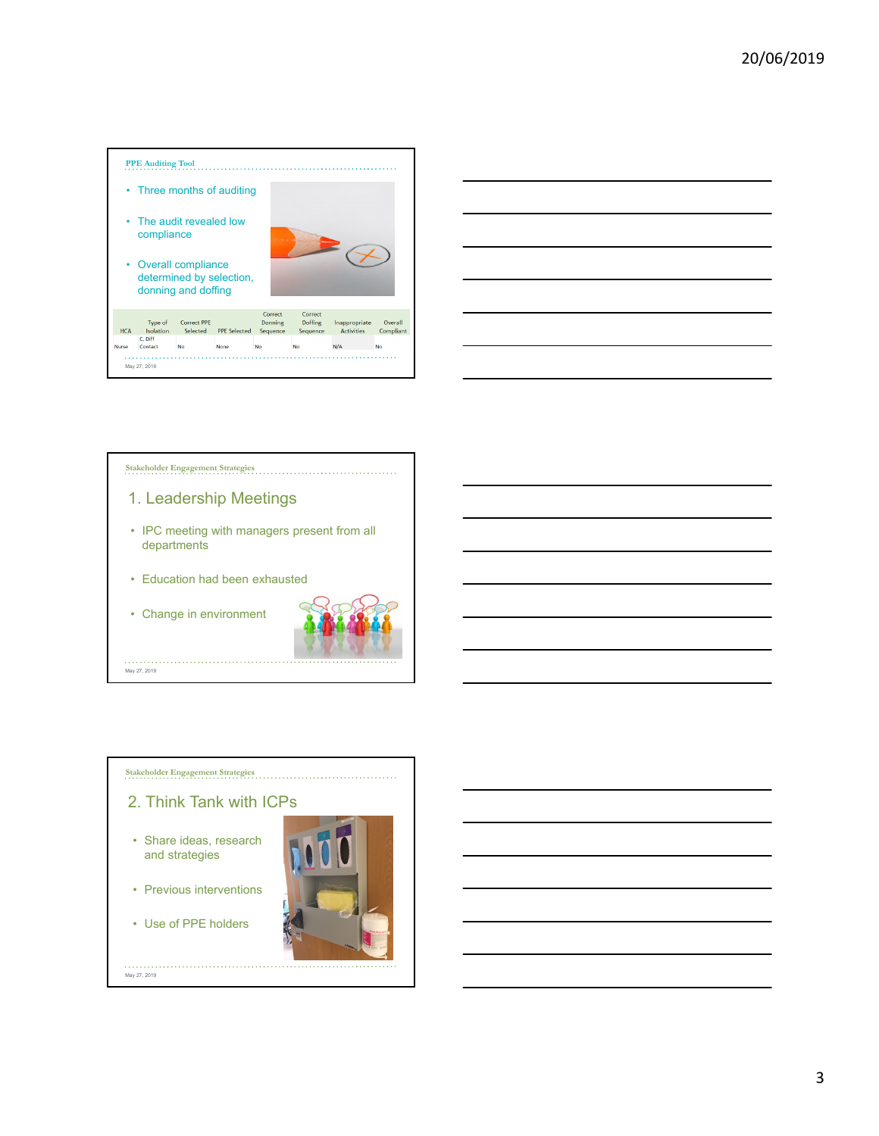







3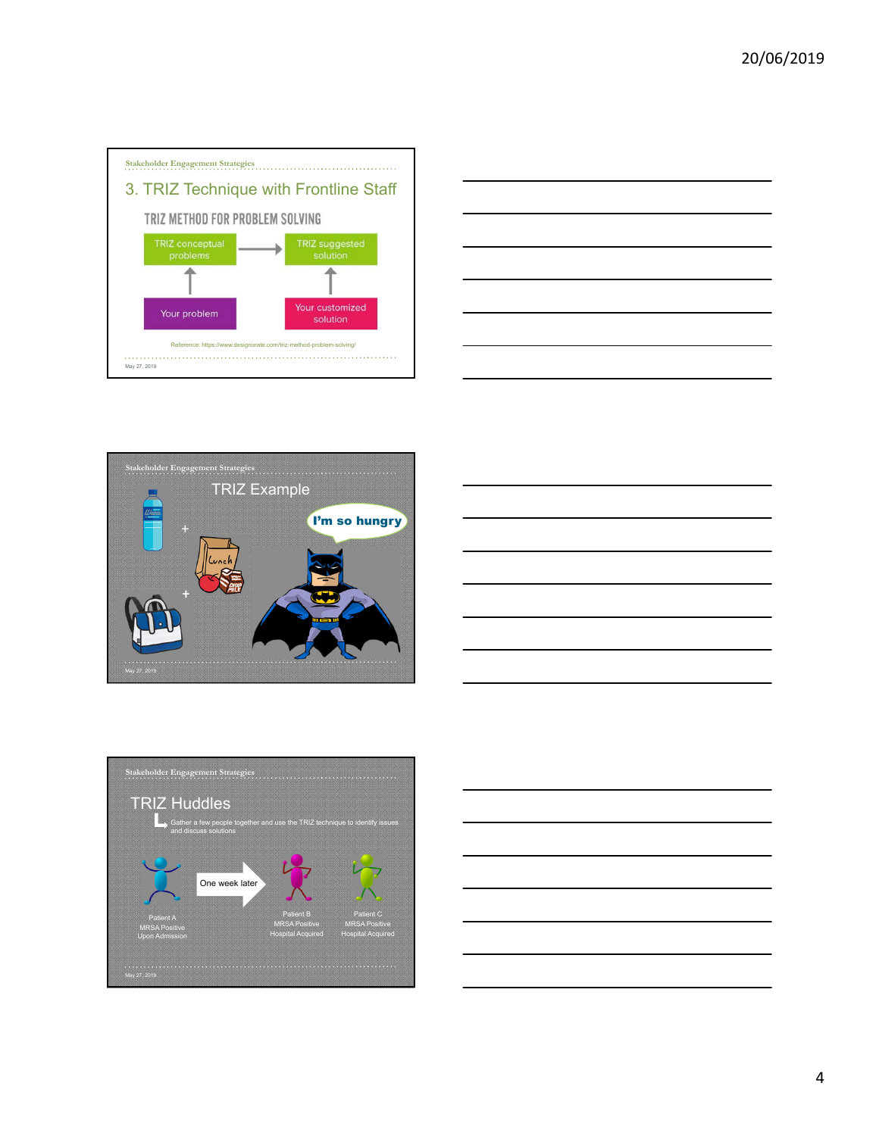







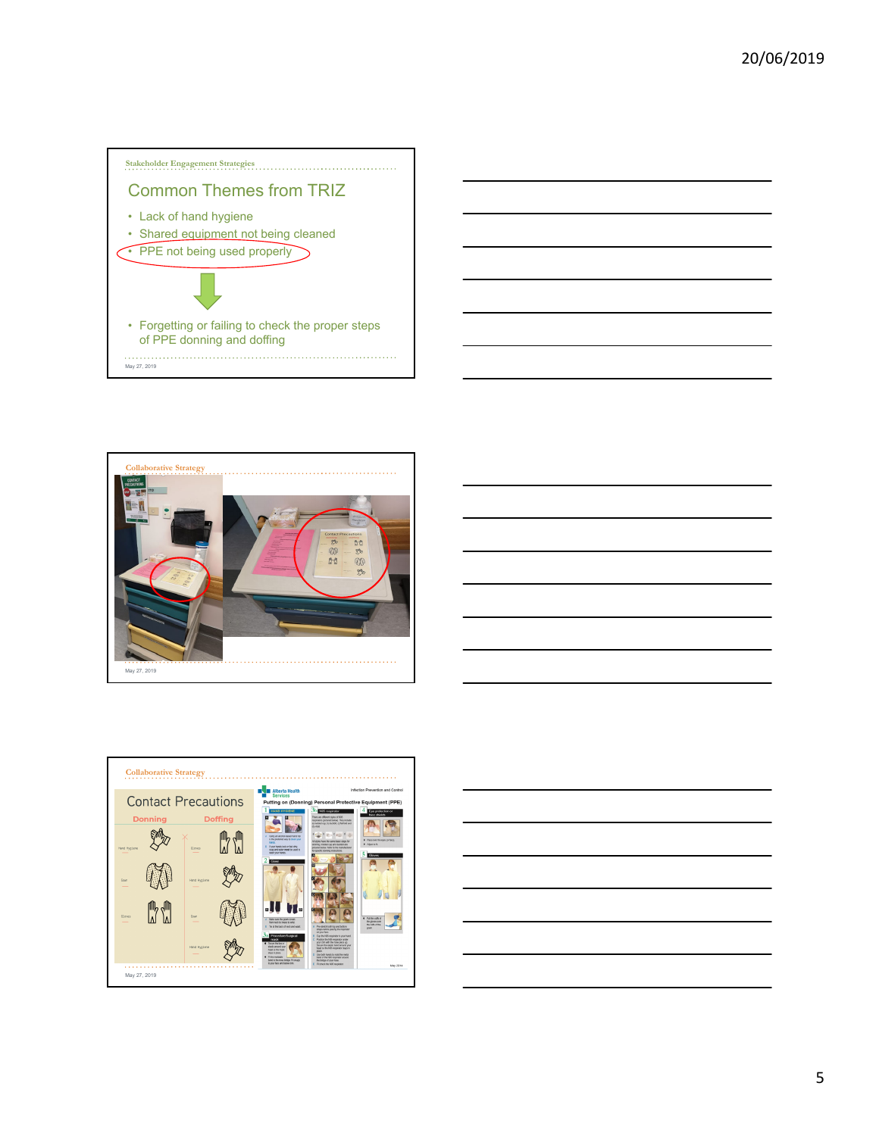